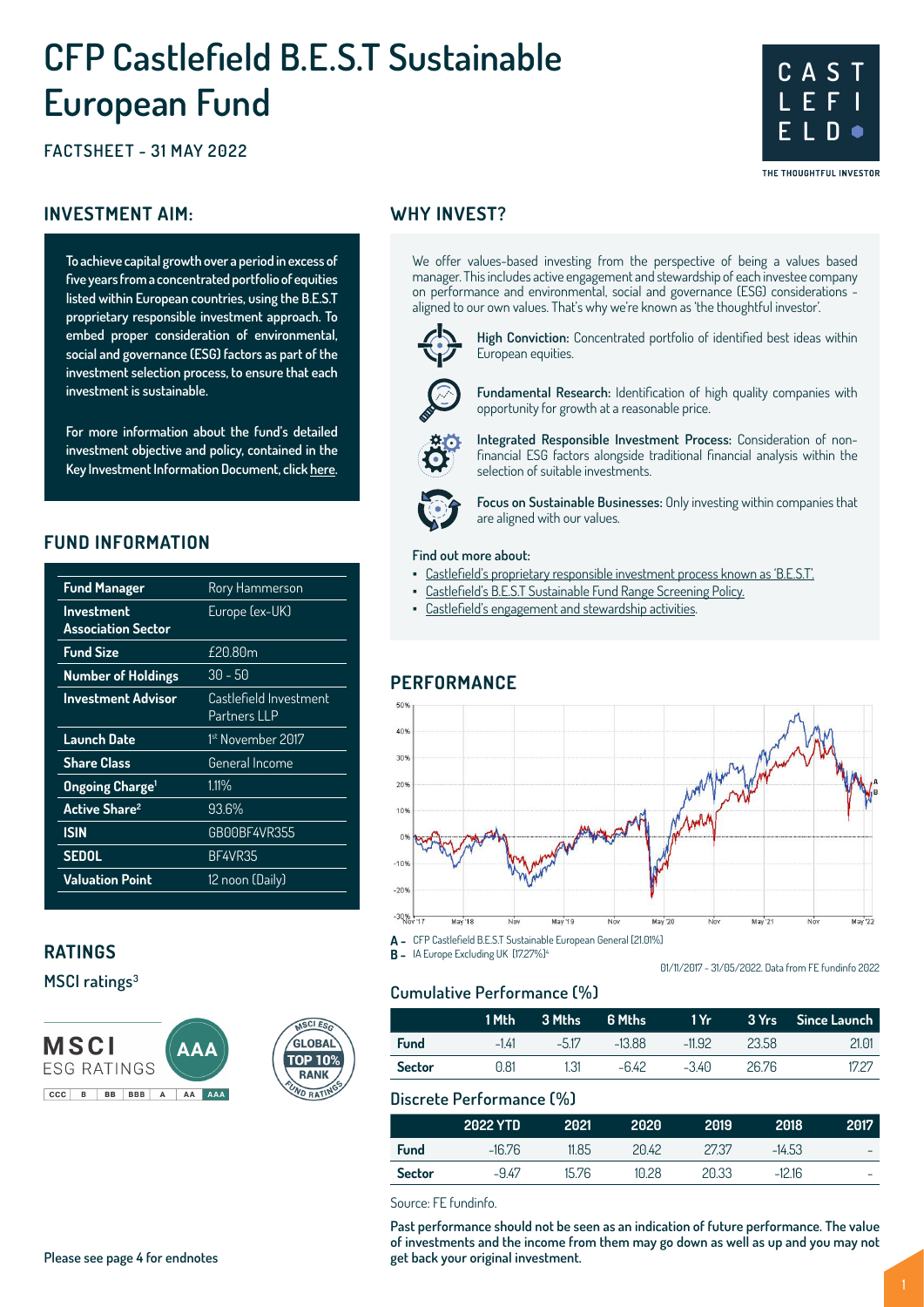# **CFP Castlefield B.E.S.T Sustainable European Fund**

## **FACTSHEET - 31 MAY 2022**

## **INVESTMENT AIM:** WHY INVEST?

**To achieve capital growth over a period in excess of five years from a concentrated portfolio of equities listed within European countries, using the B.E.S.T proprietary responsible investment approach. To embed proper consideration of environmental, social and governance (ESG) factors as part of the investment selection process, to ensure that each investment is sustainable.** 

**For more information about the fund's detailed investment objective and policy, contained in the Key Investment Information Document, click here.**

## **FUND INFORMATION**

| <b>Fund Manager</b>               | Rory Hammerson         |
|-----------------------------------|------------------------|
| <b>Investment</b>                 | Europe (ex-UK)         |
| <b>Association Sector</b>         |                        |
| <b>Fund Size</b>                  | £20.80m                |
| <b>Number of Holdings</b>         | $30 - 50$              |
| <b>Investment Advisor</b>         | Castlefield Investment |
|                                   | Partners LLP           |
| <b>Launch Date</b>                | 1st November 2017      |
| <b>Share Class</b>                | General Income         |
| <b>Ongoing Charge<sup>1</sup></b> | $1.11\%$               |
| <b>Active Share<sup>2</sup></b>   | 93.6%                  |
| <b>ISIN</b>                       | GB00BF4VR355           |
| <b>SEDOL</b>                      | BF4VR35                |
| <b>Valuation Point</b>            | 12 noon (Daily)        |
|                                   |                        |

## **RATINGS**

**MSCI ratings<sup>3</sup>**



We offer values-based investing from the perspective of being a values based manager. This includes active engagement and stewardship of each investee company on performance and environmental, social and governance (ESG) considerations aligned to our own values. That's why we're known as 'the thoughtful investor'.



**High Conviction:** Concentrated portfolio of identified best ideas within European equities.

**C A S T L E F I**

**E L D**

THE THOUGHTFUL INVESTOR



**Fundamental Research:** Identification of high quality companies with opportunity for growth at a reasonable price.

**Integrated Responsible Investment Process:** Consideration of nonfinancial ESG factors alongside traditional financial analysis within the selection of suitable investments.



**Focus on Sustainable Businesses:** Only investing within companies that are aligned with our values.

#### **Find out more about:**

- Castlefield's proprietary responsible investment process known as 'B.E.S.T'.
	- Castlefield's B.E.S.T Sustainable Fund Range Screening Policy.
- Castlefield's engagement and stewardship activities.

## **PERFORMANCE**



**A -** CFP Castlefield B.E.S.T Sustainable European General [21.01%]

**B** - IA Europe Excluding UK [17.27%]<sup>4</sup>

01/11/2017 - 31/05/2022. Data from FE fundinfo 2022

## **Cumulative Performance (%)**

|               | 1 Mth  | 3 Mths | 6 Mths   | 1 Yr I   |       | 3 Yrs Since Launch |
|---------------|--------|--------|----------|----------|-------|--------------------|
| <b>Fund</b>   | $-141$ | $-517$ | $-13.88$ | $-11.92$ | 23.58 | 21.01              |
| <b>Sector</b> | 0.81   | 1.31   | -642     | $-340$   | 26.76 | 1727               |

## **Discrete Performance (%)**

|               | 2022 YTD | 2021  | 2020  | 2019  | 2018     | 2017 |
|---------------|----------|-------|-------|-------|----------|------|
| <b>Fund</b>   | $-16.76$ | 11.85 | 2042  | 2737  | $-14.53$ | -    |
| <b>Sector</b> | -947     | 15.76 | 10.28 | 20.33 | $-12.16$ | -    |

Source: FE fundinfo.

**Past performance should not be seen as an indication of future performance. The value of investments and the income from them may go down as well as up and you may not get back your original investment.**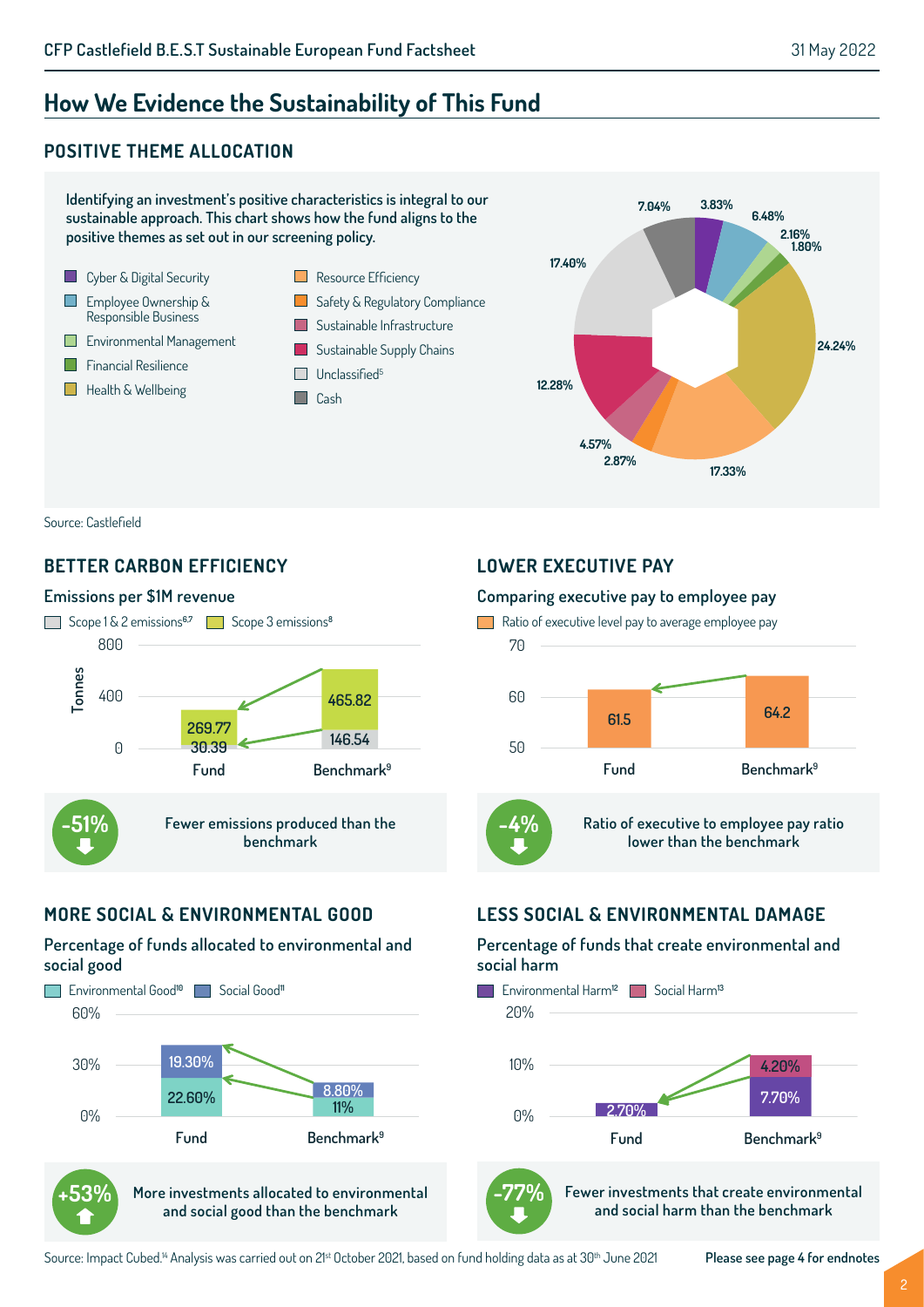**3.83%**

**17.33%**

**6.48%**

**2.16% 1.80%**

**24.24%**

## **How We Evidence the Sustainability of This Fund**

## **POSITIVE THEME ALLOCATION**



Source: Castlefield

## **BETTER CARBON EFFICIENCY**

#### **Emissions per \$1M revenue**



## **MORE SOCIAL & ENVIRONMENTAL GOOD**

#### **Percentage of funds allocated to environmental and social good**



**and social good than the benchmark**

## **LOWER EXECUTIVE PAY**

#### **Comparing executive pay to employee pay**



## **LESS SOCIAL & ENVIRONMENTAL DAMAGE**

## **Percentage of funds that create environmental and social harm**





**Fewer investments that create environmental and social harm than the benchmark -77%**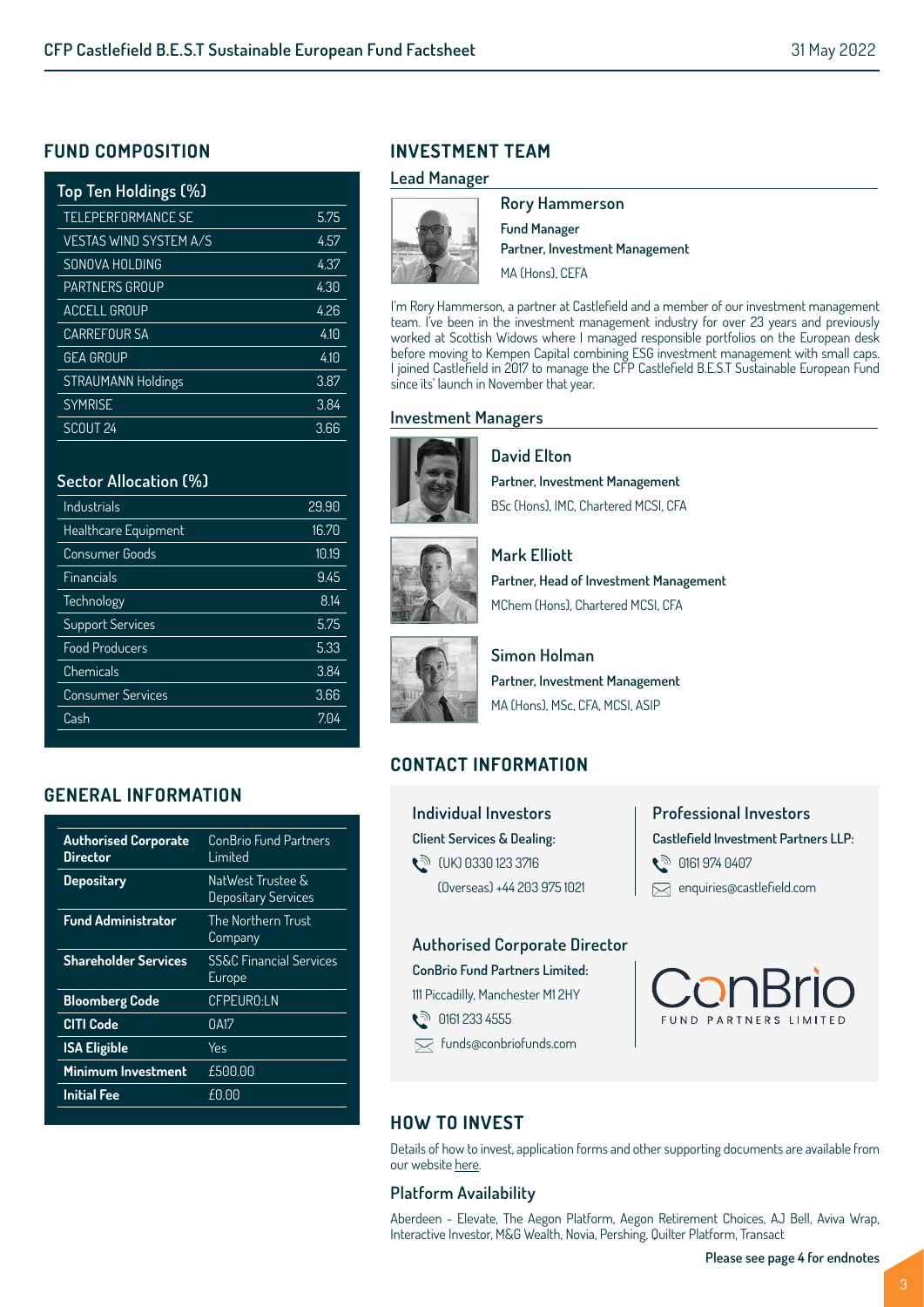## **FUND COMPOSITION**

| Top Ten Holdings (%)          |      |
|-------------------------------|------|
| <b>TELEPERFORMANCE SE</b>     | 5.75 |
| <b>VESTAS WIND SYSTEM A/S</b> | 4.57 |
| SONOVA HOLDING                | 4.37 |
| <b>PARTNERS GROUP</b>         | 4.30 |
| <b>ACCELL GROUP</b>           | 4.26 |
| <b>CARREFOUR SA</b>           | 4.10 |
| <b>GEA GROUP</b>              | 4.10 |
| <b>STRAUMANN Holdings</b>     | 3.87 |
| <b>SYMRISE</b>                | 3.84 |
| SCOUT <sub>24</sub>           | 3.66 |

## **Sector Allocation (%)**

| Industrials              | 29.90 |
|--------------------------|-------|
| Healthcare Equipment     | 16.70 |
| Consumer Goods           | 10.19 |
| Financials               | 9.45  |
| Technology               | 8.14  |
| <b>Support Services</b>  | 5.75  |
| <b>Food Producers</b>    | 5.33  |
| Chemicals                | 3.84  |
| <b>Consumer Services</b> | 3.66  |
| Cash                     | 7.04  |
|                          |       |

## **GENERAL INFORMATION**

| <b>Authorised Corporate</b><br>Director | ConBrio Fund Partners<br>I imited            |
|-----------------------------------------|----------------------------------------------|
| <b>Depositary</b>                       | NatWest Trustee &<br>Depositary Services     |
| <b>Fund Administrator</b>               | The Northern Trust<br>Company                |
| <b>Shareholder Services</b>             | <b>SS&amp;C Financial Services</b><br>Europe |
| <b>Bloomberg Code</b>                   | CFPEURO:LN                                   |
| <b>CITI Code</b>                        | 0A17                                         |
| <b>ISA Eligible</b>                     | Yes                                          |
| <b>Minimum Investment</b>               | £500.00                                      |
| <b>Initial Fee</b>                      | £0.00                                        |

## **INVESTMENT TEAM**

#### **Lead Manager**



**Rory Hammerson Fund Manager Partner, Investment Management** MA (Hons), CEFA

I'm Rory Hammerson, a partner at Castlefield and a member of our investment management team. I've been in the investment management industry for over 23 years and previously worked at Scottish Widows where I managed responsible portfolios on the European desk before moving to Kempen Capital combining ESG investment management with small caps. I joined Castlefield in 2017 to manage the CFP Castlefield B.E.S.T Sustainable European Fund since its' launch in November that year.

## **Investment Managers**



**David Elton Partner, Investment Management**  BSc (Hons), IMC, Chartered MCSI, CFA



**Mark Elliott Partner, Head of Investment Management** MChem (Hons), Chartered MCSI, CFA



**Simon Holman Partner, Investment Management** MA (Hons), MSc, CFA, MCSI, ASIP

## **CONTACT INFORMATION**

**Individual Investors Client Services & Dealing:**  t<sup>∂</sup> (UK) 0330 123 3716 (Overseas) +44 203 975 1021 **Professional Investors Castlefield Investment Partners LLP: ्री 0161 974 0407** enquiries@castlefield.com

## **Authorised Corporate Director**

**ConBrio Fund Partners Limited:** 111 Piccadilly, Manchester M1 2HY

● 0161 233 4555

funds@conbriofunds.com



## **HOW TO INVEST**

Details of how to invest, application forms and other supporting documents are available from our website here.

## **Platform Availability**

Aberdeen - Elevate, The Aegon Platform, Aegon Retirement Choices, AJ Bell, Aviva Wrap, Interactive Investor, M&G Wealth, Novia, Pershing, Quilter Platform, Transact